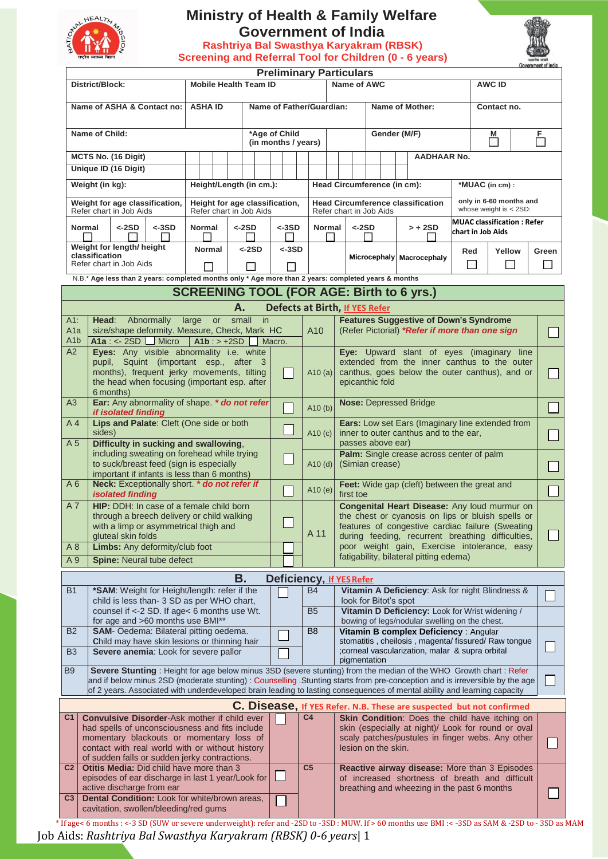

## **Ministry of Health & Family Welfare Government of India**

**Rashtriya Bal Swasthya Karyakram (RBSK)**

| Government of Ind |
|-------------------|

|                                                 | राष्ट्रीय स्वास्थ्य मिशन                                   |                                                                                |                                                                                                                                                                                                                                                           |       |                                                           |    |       |          |                                      |                                             |             |                                              |                       |                             |                                                                                                       |                                |                                                                                                        |             |                                                | Screening and Referral Tool for Children (0 - 6 years)                                          |                                  |                                              |                   |  | सत्यमेव जयः<br>Government of India |  |
|-------------------------------------------------|------------------------------------------------------------|--------------------------------------------------------------------------------|-----------------------------------------------------------------------------------------------------------------------------------------------------------------------------------------------------------------------------------------------------------|-------|-----------------------------------------------------------|----|-------|----------|--------------------------------------|---------------------------------------------|-------------|----------------------------------------------|-----------------------|-----------------------------|-------------------------------------------------------------------------------------------------------|--------------------------------|--------------------------------------------------------------------------------------------------------|-------------|------------------------------------------------|-------------------------------------------------------------------------------------------------|----------------------------------|----------------------------------------------|-------------------|--|------------------------------------|--|
|                                                 |                                                            |                                                                                |                                                                                                                                                                                                                                                           |       |                                                           |    |       |          |                                      |                                             |             |                                              |                       |                             |                                                                                                       | <b>Preliminary Particulars</b> |                                                                                                        |             |                                                |                                                                                                 |                                  |                                              |                   |  |                                    |  |
| District/Block:<br><b>Mobile Health Team ID</b> |                                                            |                                                                                |                                                                                                                                                                                                                                                           |       |                                                           |    |       |          |                                      |                                             | Name of AWC |                                              |                       |                             |                                                                                                       |                                |                                                                                                        |             |                                                |                                                                                                 | <b>AWC ID</b>                    |                                              |                   |  |                                    |  |
| Name of ASHA & Contact no:<br><b>ASHA ID</b>    |                                                            |                                                                                |                                                                                                                                                                                                                                                           |       |                                                           |    |       |          |                                      | Name of Father/Guardian:<br>Name of Mother: |             |                                              |                       |                             |                                                                                                       |                                |                                                                                                        | Contact no. |                                                |                                                                                                 |                                  |                                              |                   |  |                                    |  |
| Name of Child:                                  |                                                            |                                                                                |                                                                                                                                                                                                                                                           |       |                                                           |    |       |          | *Age of Child<br>(in months / years) |                                             |             |                                              |                       |                             |                                                                                                       |                                | Gender (M/F)                                                                                           |             |                                                |                                                                                                 | M<br>$\mathcal{L}_{\mathcal{A}}$ |                                              | 톱                 |  |                                    |  |
|                                                 |                                                            | MCTS No. (16 Digit)                                                            |                                                                                                                                                                                                                                                           |       |                                                           |    |       |          |                                      |                                             |             |                                              |                       |                             |                                                                                                       |                                |                                                                                                        |             |                                                | <b>AADHAAR No.</b>                                                                              |                                  |                                              |                   |  |                                    |  |
|                                                 |                                                            | Unique ID (16 Digit)                                                           |                                                                                                                                                                                                                                                           |       |                                                           |    |       |          |                                      |                                             |             |                                              |                       |                             |                                                                                                       |                                |                                                                                                        |             |                                                |                                                                                                 |                                  |                                              |                   |  |                                    |  |
|                                                 | Weight (in kg):                                            |                                                                                |                                                                                                                                                                                                                                                           |       | Height/Length (in cm.):                                   |    |       |          |                                      |                                             |             |                                              |                       |                             |                                                                                                       |                                |                                                                                                        |             |                                                |                                                                                                 |                                  |                                              | *MUAC (in cm) :   |  |                                    |  |
|                                                 |                                                            |                                                                                |                                                                                                                                                                                                                                                           |       |                                                           |    |       |          |                                      |                                             |             |                                              |                       | Head Circumference (in cm): |                                                                                                       |                                |                                                                                                        |             |                                                |                                                                                                 |                                  | only in 6-60 months and                      |                   |  |                                    |  |
|                                                 |                                                            | Refer chart in Job Aids                                                        | Weight for age classification,                                                                                                                                                                                                                            |       | Height for age classification,<br>Refer chart in Job Aids |    |       |          |                                      |                                             |             |                                              |                       |                             |                                                                                                       | Refer chart in Job Aids        |                                                                                                        |             |                                                | <b>Head Circumference classification</b>                                                        |                                  | whose weight is $<$ 2SD:                     |                   |  |                                    |  |
|                                                 |                                                            |                                                                                |                                                                                                                                                                                                                                                           |       |                                                           |    |       |          |                                      |                                             |             |                                              |                       |                             |                                                                                                       |                                |                                                                                                        |             |                                                |                                                                                                 |                                  | <b>MUAC classification: Refer</b>            |                   |  |                                    |  |
|                                                 | <b>Normal</b>                                              | $<$ -2SD                                                                       | $< -3SD$                                                                                                                                                                                                                                                  |       | <b>Normal</b>                                             |    |       | $<$ -2SD |                                      |                                             | <-3SD       |                                              | Normal                |                             |                                                                                                       | <-2SD                          |                                                                                                        |             |                                                | $> + 2SD$                                                                                       |                                  |                                              | chart in Job Aids |  |                                    |  |
|                                                 |                                                            | Weight for length/ height                                                      |                                                                                                                                                                                                                                                           |       | <b>Normal</b>                                             |    |       | <-2SD    |                                      |                                             | $<$ -3SD    |                                              |                       |                             |                                                                                                       |                                |                                                                                                        |             |                                                |                                                                                                 |                                  | Red                                          | Yellow            |  | Green                              |  |
|                                                 | classification                                             | Refer chart in Job Aids                                                        |                                                                                                                                                                                                                                                           |       |                                                           |    |       |          |                                      |                                             |             |                                              |                       |                             |                                                                                                       |                                |                                                                                                        |             |                                                | Microcephaly Macrocephaly                                                                       |                                  | 溢                                            | $\sim$            |  |                                    |  |
|                                                 |                                                            |                                                                                |                                                                                                                                                                                                                                                           |       |                                                           |    |       |          |                                      |                                             |             |                                              |                       |                             |                                                                                                       |                                |                                                                                                        |             |                                                |                                                                                                 |                                  |                                              |                   |  |                                    |  |
|                                                 |                                                            |                                                                                | N.B.* Age less than 2 years: completed months only * Age more than 2 years: completed years & months                                                                                                                                                      |       |                                                           |    |       |          |                                      |                                             |             |                                              |                       |                             |                                                                                                       |                                |                                                                                                        |             |                                                |                                                                                                 |                                  |                                              |                   |  |                                    |  |
|                                                 |                                                            |                                                                                |                                                                                                                                                                                                                                                           |       |                                                           |    |       |          |                                      |                                             |             |                                              |                       |                             |                                                                                                       |                                |                                                                                                        |             |                                                | <b>SCREENING TOOL (FOR AGE: Birth to 6 yrs.)</b>                                                |                                  |                                              |                   |  |                                    |  |
|                                                 |                                                            |                                                                                |                                                                                                                                                                                                                                                           |       |                                                           |    | А.    |          |                                      |                                             |             |                                              |                       |                             |                                                                                                       | Defects at Birth, If YES Refer |                                                                                                        |             |                                                |                                                                                                 |                                  |                                              |                   |  |                                    |  |
| $A1$ :                                          | Head:                                                      |                                                                                | Abnormally                                                                                                                                                                                                                                                | large |                                                           | or | small |          | $\mathsf{in}$                        |                                             |             |                                              |                       |                             |                                                                                                       |                                |                                                                                                        |             |                                                | <b>Features Suggestive of Down's Syndrome</b><br>(Refer Pictorial) *Refer if more than one sign |                                  |                                              |                   |  |                                    |  |
| A <sub>1</sub> a<br>A <sub>1</sub> b            |                                                            |                                                                                | size/shape deformity. Measure, Check, Mark HC<br>A1a : <- 2SD $\Box$ Micro   A1b : > +2SD                                                                                                                                                                 |       |                                                           |    |       |          |                                      | Macro.                                      |             |                                              | A10                   |                             |                                                                                                       |                                |                                                                                                        |             |                                                |                                                                                                 |                                  |                                              |                   |  |                                    |  |
| A2                                              |                                                            |                                                                                | Eyes: Any visible abnormality i.e. white                                                                                                                                                                                                                  |       |                                                           |    |       |          |                                      |                                             |             |                                              |                       |                             |                                                                                                       |                                |                                                                                                        |             |                                                | <b>Eye:</b> Upward slant of eyes (imaginary line                                                |                                  |                                              |                   |  |                                    |  |
|                                                 |                                                            |                                                                                | pupil, Squint (important esp., after 3                                                                                                                                                                                                                    |       |                                                           |    |       |          |                                      |                                             |             |                                              |                       |                             |                                                                                                       |                                |                                                                                                        |             |                                                |                                                                                                 |                                  | extended from the inner canthus to the outer |                   |  |                                    |  |
|                                                 |                                                            |                                                                                | months), frequent jerky movements, tilting                                                                                                                                                                                                                |       |                                                           |    |       |          |                                      |                                             |             |                                              | A <sub>10</sub> $(a)$ |                             |                                                                                                       |                                |                                                                                                        |             | canthus, goes below the outer canthus), and or |                                                                                                 |                                  |                                              |                   |  |                                    |  |
|                                                 |                                                            |                                                                                | the head when focusing (important esp. after                                                                                                                                                                                                              |       |                                                           |    |       |          |                                      |                                             |             |                                              |                       |                             |                                                                                                       | epicanthic fold                |                                                                                                        |             |                                                |                                                                                                 |                                  |                                              |                   |  |                                    |  |
| A3                                              | 6 months)<br>Ear: Any abnormality of shape. * do not refer |                                                                                |                                                                                                                                                                                                                                                           |       |                                                           |    |       |          |                                      |                                             |             |                                              |                       |                             |                                                                                                       |                                |                                                                                                        |             |                                                | <b>Nose: Depressed Bridge</b>                                                                   |                                  |                                              |                   |  |                                    |  |
|                                                 |                                                            | if isolated finding                                                            |                                                                                                                                                                                                                                                           |       |                                                           |    |       |          |                                      |                                             |             |                                              | A <sub>10</sub> $(b)$ |                             |                                                                                                       |                                |                                                                                                        |             |                                                |                                                                                                 |                                  |                                              |                   |  | $\Box$                             |  |
| $A$ 4                                           | sides)                                                     |                                                                                | Lips and Palate: Cleft (One side or both                                                                                                                                                                                                                  |       |                                                           |    |       |          |                                      |                                             |             |                                              |                       |                             |                                                                                                       |                                | Ears: Low set Ears (Imaginary line extended from<br>inner to outer canthus and to the ear,             |             |                                                |                                                                                                 |                                  |                                              |                   |  |                                    |  |
| A 5                                             |                                                            |                                                                                | Difficulty in sucking and swallowing,                                                                                                                                                                                                                     |       |                                                           |    |       |          |                                      |                                             |             |                                              | A <sub>10</sub> $(c)$ |                             |                                                                                                       | passes above ear)              |                                                                                                        |             |                                                |                                                                                                 |                                  |                                              |                   |  | $\sim$                             |  |
|                                                 |                                                            |                                                                                | including sweating on forehead while trying                                                                                                                                                                                                               |       |                                                           |    |       |          |                                      |                                             |             |                                              |                       |                             | Palm: Single crease across center of palm                                                             |                                |                                                                                                        |             |                                                |                                                                                                 |                                  |                                              |                   |  |                                    |  |
|                                                 |                                                            |                                                                                | to suck/breast feed (sign is especially                                                                                                                                                                                                                   |       |                                                           |    |       |          |                                      |                                             |             |                                              |                       |                             |                                                                                                       | $A10(d)$ (Simian crease)       |                                                                                                        |             |                                                |                                                                                                 |                                  |                                              |                   |  |                                    |  |
| A6                                              |                                                            |                                                                                | important if infants is less than 6 months)<br>Neck: Exceptionally short. * do not refer if                                                                                                                                                               |       |                                                           |    |       |          |                                      |                                             |             |                                              |                       |                             |                                                                                                       |                                |                                                                                                        |             |                                                |                                                                                                 |                                  |                                              |                   |  |                                    |  |
|                                                 |                                                            | isolated finding                                                               |                                                                                                                                                                                                                                                           |       |                                                           |    |       |          |                                      |                                             |             |                                              | A10 (e)               |                             |                                                                                                       | first toe                      |                                                                                                        |             |                                                | Feet: Wide gap (cleft) between the great and                                                    |                                  |                                              |                   |  |                                    |  |
| A7                                              |                                                            |                                                                                | HIP: DDH: In case of a female child born                                                                                                                                                                                                                  |       |                                                           |    |       |          |                                      |                                             |             |                                              | A 11                  |                             |                                                                                                       |                                | Congenital Heart Disease: Any loud murmur on                                                           |             |                                                |                                                                                                 |                                  |                                              |                   |  |                                    |  |
|                                                 |                                                            |                                                                                | through a breech delivery or child walking                                                                                                                                                                                                                |       |                                                           |    |       |          |                                      |                                             |             |                                              |                       |                             | the chest or cyanosis on lips or bluish spells or                                                     |                                |                                                                                                        |             |                                                |                                                                                                 |                                  |                                              |                   |  |                                    |  |
|                                                 |                                                            | gluteal skin folds                                                             | with a limp or asymmetrical thigh and                                                                                                                                                                                                                     |       |                                                           |    |       |          |                                      |                                             |             |                                              |                       |                             | features of congestive cardiac failure (Sweating<br>during feeding, recurrent breathing difficulties, |                                |                                                                                                        |             |                                                |                                                                                                 |                                  |                                              |                   |  |                                    |  |
| A 8                                             |                                                            |                                                                                | Limbs: Any deformity/club foot                                                                                                                                                                                                                            |       |                                                           |    |       |          |                                      |                                             |             | poor weight gain, Exercise intolerance, easy |                       |                             |                                                                                                       |                                |                                                                                                        |             |                                                |                                                                                                 |                                  |                                              |                   |  |                                    |  |
| A 9                                             |                                                            |                                                                                | Spine: Neural tube defect                                                                                                                                                                                                                                 |       |                                                           |    |       |          |                                      |                                             |             |                                              |                       |                             |                                                                                                       |                                |                                                                                                        |             |                                                | fatigability, bilateral pitting edema)                                                          |                                  |                                              |                   |  |                                    |  |
|                                                 |                                                            |                                                                                |                                                                                                                                                                                                                                                           |       |                                                           |    |       |          |                                      |                                             |             |                                              |                       |                             |                                                                                                       |                                |                                                                                                        |             |                                                |                                                                                                 |                                  |                                              |                   |  |                                    |  |
|                                                 |                                                            |                                                                                |                                                                                                                                                                                                                                                           |       |                                                           |    | В.    |          |                                      |                                             |             |                                              |                       |                             |                                                                                                       | Deficiency, If YES Refer       |                                                                                                        |             |                                                |                                                                                                 |                                  |                                              |                   |  |                                    |  |
| <b>B1</b>                                       |                                                            |                                                                                | *SAM: Weight for Height/length: refer if the<br>child is less than-3 SD as per WHO chart,                                                                                                                                                                 |       |                                                           |    |       |          |                                      |                                             |             |                                              | B4                    |                             |                                                                                                       | look for Bitot's spot          |                                                                                                        |             |                                                | Vitamin A Deficiency: Ask for night Blindness &                                                 |                                  |                                              |                   |  |                                    |  |
|                                                 |                                                            |                                                                                | counsel if <-2 SD. If age< 6 months use Wt.                                                                                                                                                                                                               |       |                                                           |    |       |          |                                      |                                             |             |                                              | <b>B5</b>             |                             |                                                                                                       |                                |                                                                                                        |             |                                                | Vitamin D Deficiency: Look for Wrist widening /                                                 |                                  |                                              |                   |  |                                    |  |
|                                                 |                                                            |                                                                                | for age and >60 months use BMI**                                                                                                                                                                                                                          |       |                                                           |    |       |          |                                      |                                             |             |                                              |                       |                             |                                                                                                       |                                |                                                                                                        |             |                                                | bowing of legs/nodular swelling on the chest.                                                   |                                  |                                              |                   |  |                                    |  |
| <b>B2</b>                                       |                                                            |                                                                                | SAM- Oedema: Bilateral pitting oedema.                                                                                                                                                                                                                    |       |                                                           |    |       |          |                                      |                                             |             |                                              | B <sub>8</sub>        |                             |                                                                                                       |                                |                                                                                                        |             |                                                | Vitamin B complex Deficiency: Angular                                                           |                                  |                                              |                   |  |                                    |  |
| <b>B3</b>                                       |                                                            |                                                                                | Child may have skin lesions or thinning hair<br>Severe anemia: Look for severe pallor                                                                                                                                                                     |       |                                                           |    |       |          |                                      |                                             |             |                                              |                       |                             |                                                                                                       |                                | stomatitis, cheilosis, magenta/fissured/Raw tongue<br>; corneal vascularization, malar & supra orbital |             |                                                |                                                                                                 |                                  |                                              |                   |  |                                    |  |
|                                                 |                                                            |                                                                                |                                                                                                                                                                                                                                                           |       |                                                           |    |       |          |                                      |                                             |             |                                              |                       |                             |                                                                                                       | pigmentation                   |                                                                                                        |             |                                                |                                                                                                 |                                  |                                              |                   |  |                                    |  |
| B <sub>9</sub>                                  |                                                            |                                                                                | Severe Stunting : Height for age below minus 3SD (severe stunting) from the median of the WHO Growth chart : Refer                                                                                                                                        |       |                                                           |    |       |          |                                      |                                             |             |                                              |                       |                             |                                                                                                       |                                |                                                                                                        |             |                                                |                                                                                                 |                                  |                                              |                   |  |                                    |  |
|                                                 |                                                            |                                                                                | and if below minus 2SD (moderate stunting) : Counselling . Stunting starts from pre-conception and is irreversible by the age<br>of 2 years. Associated with underdeveloped brain leading to lasting consequences of mental ability and learning capacity |       |                                                           |    |       |          |                                      |                                             |             |                                              |                       |                             |                                                                                                       |                                |                                                                                                        |             |                                                |                                                                                                 |                                  |                                              |                   |  |                                    |  |
|                                                 |                                                            |                                                                                |                                                                                                                                                                                                                                                           |       |                                                           |    |       |          |                                      |                                             |             |                                              |                       |                             |                                                                                                       |                                |                                                                                                        |             |                                                |                                                                                                 |                                  |                                              |                   |  |                                    |  |
|                                                 |                                                            |                                                                                |                                                                                                                                                                                                                                                           |       |                                                           |    |       |          |                                      |                                             |             |                                              |                       |                             |                                                                                                       |                                |                                                                                                        |             |                                                | C. Disease, If YES Refer. N.B. These are suspected but not confirmed                            |                                  |                                              |                   |  |                                    |  |
| $\overline{C1}$                                 |                                                            |                                                                                | <b>Convulsive Disorder-Ask mother if child ever</b><br>had spells of unconsciousness and fits include                                                                                                                                                     |       |                                                           |    |       |          |                                      |                                             |             |                                              | C <sub>4</sub>        |                             |                                                                                                       |                                | Skin Condition: Does the child have itching on<br>skin (especially at night)/ Look for round or oval   |             |                                                |                                                                                                 |                                  |                                              |                   |  |                                    |  |
|                                                 |                                                            |                                                                                | momentary blackouts or momentary loss of                                                                                                                                                                                                                  |       |                                                           |    |       |          |                                      |                                             |             |                                              |                       |                             |                                                                                                       |                                |                                                                                                        |             |                                                | scaly patches/pustules in finger webs. Any other                                                |                                  |                                              |                   |  |                                    |  |
|                                                 |                                                            |                                                                                | contact with real world with or without history                                                                                                                                                                                                           |       |                                                           |    |       |          |                                      |                                             |             |                                              |                       |                             |                                                                                                       | lesion on the skin.            |                                                                                                        |             |                                                |                                                                                                 |                                  |                                              |                   |  |                                    |  |
| C <sub>2</sub>                                  |                                                            |                                                                                | of sudden falls or sudden jerky contractions.                                                                                                                                                                                                             |       |                                                           |    |       |          |                                      |                                             |             | C <sub>5</sub>                               |                       |                             |                                                                                                       |                                |                                                                                                        |             |                                                |                                                                                                 |                                  |                                              |                   |  |                                    |  |
|                                                 |                                                            |                                                                                | <b>Otitis Media:</b> Did child have more than 3                                                                                                                                                                                                           |       |                                                           |    |       |          |                                      |                                             |             |                                              |                       |                             |                                                                                                       |                                | Reactive airway disease: More than 3 Episodes<br>of increased shortness of breath and difficult        |             |                                                |                                                                                                 |                                  |                                              |                   |  |                                    |  |
|                                                 |                                                            | episodes of ear discharge in last 1 year/Look for<br>active discharge from ear |                                                                                                                                                                                                                                                           |       |                                                           |    |       |          |                                      |                                             |             |                                              |                       |                             | breathing and wheezing in the past 6 months                                                           |                                |                                                                                                        |             |                                                |                                                                                                 |                                  |                                              |                   |  |                                    |  |

 \* If age< 6 months : <-3 SD (SUW or severe underweight): refer and -2SD to -3SD : MUW. If > 60 months use BMI :< -3SD as SAM & -2SD to - 3SD as MAM Job Aids: *Rashtriya Bal Swasthya Karyakram (RBSK) 0-6 years*| 1

11

**C3 Dental Condition:** Look for white/brown areas, cavitation, swollen/bleeding/red gums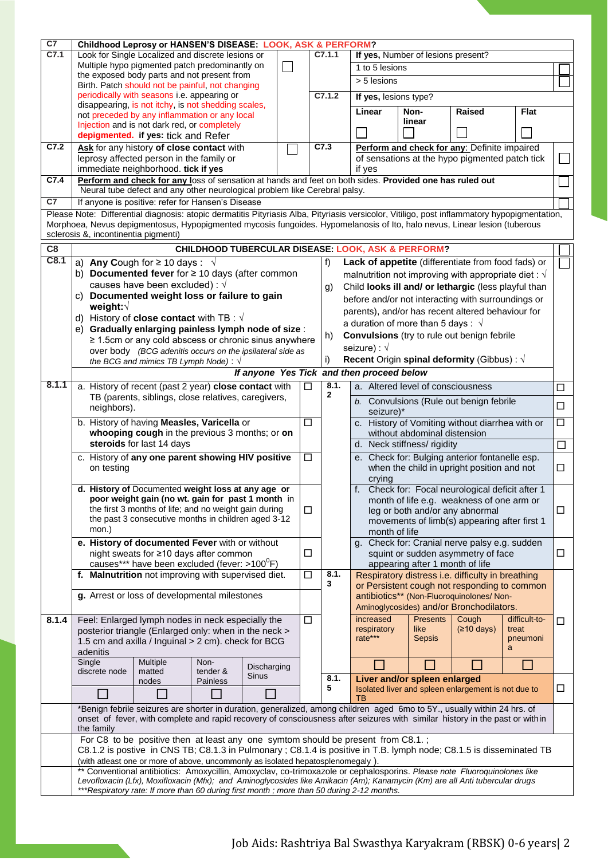| C <sub>7</sub>                                                                                                                                                    | Childhood Leprosy or HANSEN'S DISEASE: LOOK, ASK & PERFORM?<br>Look for Single Localized and discrete lesions or                             |                                                                                                                              |                  |              |                |                                                                                                                                                                                       |                                    |                                                                     |                                                                |                                                               |               |        |      |  |  |                                                   |  |  |
|-------------------------------------------------------------------------------------------------------------------------------------------------------------------|----------------------------------------------------------------------------------------------------------------------------------------------|------------------------------------------------------------------------------------------------------------------------------|------------------|--------------|----------------|---------------------------------------------------------------------------------------------------------------------------------------------------------------------------------------|------------------------------------|---------------------------------------------------------------------|----------------------------------------------------------------|---------------------------------------------------------------|---------------|--------|------|--|--|---------------------------------------------------|--|--|
| C7.1                                                                                                                                                              |                                                                                                                                              |                                                                                                                              |                  |              |                | C7.1.1                                                                                                                                                                                | If yes, Number of lesions present? |                                                                     |                                                                |                                                               |               |        |      |  |  |                                                   |  |  |
|                                                                                                                                                                   | Multiple hypo pigmented patch predominantly on                                                                                               |                                                                                                                              |                  |              | 1 to 5 lesions |                                                                                                                                                                                       |                                    |                                                                     |                                                                |                                                               |               |        |      |  |  |                                                   |  |  |
|                                                                                                                                                                   |                                                                                                                                              | the exposed body parts and not present from<br>Birth. Patch should not be painful, not changing                              |                  |              |                |                                                                                                                                                                                       |                                    | $> 5$ lesions                                                       |                                                                |                                                               |               |        |      |  |  |                                                   |  |  |
|                                                                                                                                                                   |                                                                                                                                              | periodically with seasons i.e. appearing or                                                                                  |                  |              |                |                                                                                                                                                                                       | C7.1.2                             | If yes, lesions type?                                               |                                                                |                                                               |               |        |      |  |  |                                                   |  |  |
|                                                                                                                                                                   |                                                                                                                                              | disappearing, is not itchy, is not shedding scales,                                                                          |                  |              |                |                                                                                                                                                                                       |                                    |                                                                     |                                                                |                                                               |               |        |      |  |  |                                                   |  |  |
|                                                                                                                                                                   |                                                                                                                                              | not preceded by any inflammation or any local                                                                                |                  |              |                |                                                                                                                                                                                       |                                    | Linear                                                              | Non-                                                           | Raised                                                        | <b>Flat</b>   |        |      |  |  |                                                   |  |  |
|                                                                                                                                                                   | Injection and is not dark red, or completely                                                                                                 |                                                                                                                              |                  |              |                |                                                                                                                                                                                       | linear                             |                                                                     |                                                                |                                                               |               |        |      |  |  |                                                   |  |  |
|                                                                                                                                                                   | depigmented. if yes: tick and Refer                                                                                                          |                                                                                                                              |                  |              |                |                                                                                                                                                                                       |                                    |                                                                     |                                                                |                                                               |               |        |      |  |  |                                                   |  |  |
| C7.2                                                                                                                                                              |                                                                                                                                              | Ask for any history of close contact with                                                                                    |                  |              | C7.3           |                                                                                                                                                                                       |                                    |                                                                     | Perform and check for any: Definite impaired                   |                                                               |               |        |      |  |  |                                                   |  |  |
|                                                                                                                                                                   |                                                                                                                                              | leprosy affected person in the family or                                                                                     |                  |              |                |                                                                                                                                                                                       |                                    | of sensations at the hypo pigmented patch tick                      |                                                                |                                                               |               |        |      |  |  |                                                   |  |  |
|                                                                                                                                                                   |                                                                                                                                              | immediate neighborhood. tick if yes                                                                                          |                  |              |                |                                                                                                                                                                                       |                                    | if yes                                                              |                                                                |                                                               |               |        |      |  |  |                                                   |  |  |
| C7.4                                                                                                                                                              |                                                                                                                                              |                                                                                                                              |                  |              |                | Perform and check for any loss of sensation at hands and feet on both sides. Provided one has ruled out<br>Neural tube defect and any other neurological problem like Cerebral palsy. |                                    |                                                                     |                                                                |                                                               |               |        |      |  |  |                                                   |  |  |
| C7                                                                                                                                                                |                                                                                                                                              | If anyone is positive: refer for Hansen's Disease                                                                            |                  |              |                |                                                                                                                                                                                       |                                    |                                                                     |                                                                |                                                               |               |        |      |  |  |                                                   |  |  |
|                                                                                                                                                                   | Please Note: Differential diagnosis: atopic dermatitis Pityriasis Alba, Pityriasis versicolor, Vitiligo, post inflammatory hypopigmentation, |                                                                                                                              |                  |              |                |                                                                                                                                                                                       |                                    |                                                                     |                                                                |                                                               |               |        |      |  |  |                                                   |  |  |
|                                                                                                                                                                   |                                                                                                                                              |                                                                                                                              |                  |              |                |                                                                                                                                                                                       |                                    |                                                                     |                                                                |                                                               |               |        |      |  |  |                                                   |  |  |
| Morphoea, Nevus depigmentosus, Hypopigmented mycosis fungoides. Hypomelanosis of Ito, halo nevus, Linear lesion (tuberous<br>sclerosis &, incontinentia pigmenti) |                                                                                                                                              |                                                                                                                              |                  |              |                |                                                                                                                                                                                       |                                    |                                                                     |                                                                |                                                               |               |        |      |  |  |                                                   |  |  |
| C8                                                                                                                                                                |                                                                                                                                              |                                                                                                                              |                  |              |                |                                                                                                                                                                                       |                                    | <b>CHILDHOOD TUBERCULAR DISEASE: LOOK, ASK &amp; PERFORM?</b>       |                                                                |                                                               |               |        |      |  |  |                                                   |  |  |
| C8.1                                                                                                                                                              |                                                                                                                                              |                                                                                                                              |                  |              |                |                                                                                                                                                                                       |                                    |                                                                     |                                                                |                                                               |               |        |      |  |  |                                                   |  |  |
|                                                                                                                                                                   | a) Any Cough for $\geq$ 10 days : $\sqrt{ }$<br>b) Documented fever for $\geq$ 10 days (after common                                         |                                                                                                                              |                  |              |                |                                                                                                                                                                                       | f)                                 |                                                                     |                                                                | Lack of appetite (differentiate from food fads) or            |               |        |      |  |  |                                                   |  |  |
|                                                                                                                                                                   |                                                                                                                                              | causes have been excluded) : $\sqrt{ }$                                                                                      |                  |              |                |                                                                                                                                                                                       |                                    |                                                                     |                                                                | malnutrition not improving with appropriate diet : $\sqrt{ }$ |               |        |      |  |  |                                                   |  |  |
|                                                                                                                                                                   | c) Documented weight loss or failure to gain                                                                                                 |                                                                                                                              |                  |              |                |                                                                                                                                                                                       | g)                                 |                                                                     |                                                                | Child looks ill and/ or lethargic (less playful than          |               |        |      |  |  |                                                   |  |  |
|                                                                                                                                                                   | weight:√                                                                                                                                     |                                                                                                                              |                  |              |                |                                                                                                                                                                                       |                                    |                                                                     |                                                                | before and/or not interacting with surroundings or            |               |        |      |  |  |                                                   |  |  |
|                                                                                                                                                                   | d) History of <b>close contact</b> with TB : $\sqrt{ }$                                                                                      |                                                                                                                              |                  |              |                |                                                                                                                                                                                       |                                    |                                                                     |                                                                | parents), and/or has recent altered behaviour for             |               |        |      |  |  |                                                   |  |  |
|                                                                                                                                                                   | e) Gradually enlarging painless lymph node of size :                                                                                         |                                                                                                                              |                  |              |                |                                                                                                                                                                                       |                                    | a duration of more than 5 days : $\sqrt{ }$                         |                                                                |                                                               |               |        |      |  |  |                                                   |  |  |
|                                                                                                                                                                   |                                                                                                                                              | $\geq$ 1.5cm or any cold abscess or chronic sinus anywhere                                                                   |                  |              |                |                                                                                                                                                                                       | h)                                 |                                                                     |                                                                | <b>Convulsions</b> (try to rule out benign febrile            |               |        |      |  |  |                                                   |  |  |
|                                                                                                                                                                   |                                                                                                                                              | over body (BCG adenitis occurs on the ipsilateral side as                                                                    |                  |              |                |                                                                                                                                                                                       |                                    | seizure) : $\sqrt{ }$                                               |                                                                |                                                               |               |        |      |  |  |                                                   |  |  |
|                                                                                                                                                                   |                                                                                                                                              | the BCG and mimics TB Lymph Node): $\sqrt{ }$                                                                                |                  |              |                |                                                                                                                                                                                       | i)                                 |                                                                     |                                                                | Recent Origin spinal deformity (Gibbus) : $\sqrt{ }$          |               |        |      |  |  |                                                   |  |  |
|                                                                                                                                                                   |                                                                                                                                              |                                                                                                                              |                  |              |                |                                                                                                                                                                                       |                                    | If anyone Yes Tick and then proceed below                           |                                                                |                                                               |               |        |      |  |  |                                                   |  |  |
| 8.1.1                                                                                                                                                             |                                                                                                                                              | a. History of recent (past 2 year) close contact with                                                                        |                  |              | □              |                                                                                                                                                                                       | 8.1.                               | a. Altered level of consciousness                                   |                                                                |                                                               |               |        |      |  |  |                                                   |  |  |
|                                                                                                                                                                   |                                                                                                                                              | TB (parents, siblings, close relatives, caregivers,                                                                          |                  |              |                |                                                                                                                                                                                       | $\mathbf{2}$                       |                                                                     |                                                                |                                                               |               | □      |      |  |  |                                                   |  |  |
|                                                                                                                                                                   | neighbors).                                                                                                                                  |                                                                                                                              |                  |              |                |                                                                                                                                                                                       |                                    | b. Convulsions (Rule out benign febrile<br>□<br>seizure)*           |                                                                |                                                               |               |        |      |  |  |                                                   |  |  |
|                                                                                                                                                                   |                                                                                                                                              | b. History of having Measles, Varicella or                                                                                   |                  |              | $\Box$         |                                                                                                                                                                                       |                                    |                                                                     |                                                                | c. History of Vomiting without diarrhea with or               |               | $\Box$ |      |  |  |                                                   |  |  |
|                                                                                                                                                                   |                                                                                                                                              | whooping cough in the previous 3 months; or on                                                                               |                  |              |                |                                                                                                                                                                                       |                                    |                                                                     | without abdominal distension                                   |                                                               |               |        |      |  |  |                                                   |  |  |
|                                                                                                                                                                   |                                                                                                                                              | steroids for last 14 days                                                                                                    |                  |              |                |                                                                                                                                                                                       |                                    | d. Neck stiffness/ rigidity                                         |                                                                |                                                               |               |        |      |  |  |                                                   |  |  |
|                                                                                                                                                                   |                                                                                                                                              | c. History of any one parent showing HIV positive                                                                            |                  |              | $\Box$         |                                                                                                                                                                                       |                                    | e. Check for: Bulging anterior fontanelle esp.                      |                                                                |                                                               |               |        |      |  |  |                                                   |  |  |
|                                                                                                                                                                   | on testing                                                                                                                                   |                                                                                                                              |                  |              |                |                                                                                                                                                                                       |                                    | when the child in upright position and not                          |                                                                |                                                               |               |        |      |  |  |                                                   |  |  |
|                                                                                                                                                                   |                                                                                                                                              |                                                                                                                              |                  |              |                |                                                                                                                                                                                       |                                    | crying                                                              |                                                                |                                                               |               |        |      |  |  |                                                   |  |  |
|                                                                                                                                                                   |                                                                                                                                              | d. History of Documented weight loss at any age or                                                                           |                  |              |                |                                                                                                                                                                                       |                                    |                                                                     |                                                                | f. Check for: Focal neurological deficit after 1              |               |        |      |  |  |                                                   |  |  |
|                                                                                                                                                                   |                                                                                                                                              | poor weight gain (no wt. gain for past 1 month in                                                                            |                  |              |                |                                                                                                                                                                                       |                                    |                                                                     | month of life e.g. weakness of one arm or                      |                                                               |               |        |      |  |  |                                                   |  |  |
|                                                                                                                                                                   |                                                                                                                                              | the first 3 months of life; and no weight gain during<br>the past 3 consecutive months in children aged 3-12                 |                  |              | □              |                                                                                                                                                                                       |                                    |                                                                     | leg or both and/or any abnormal                                |                                                               |               | ⊔      |      |  |  |                                                   |  |  |
|                                                                                                                                                                   | mon.)                                                                                                                                        |                                                                                                                              |                  |              |                |                                                                                                                                                                                       |                                    | movements of limb(s) appearing after first 1                        |                                                                |                                                               |               |        |      |  |  |                                                   |  |  |
|                                                                                                                                                                   |                                                                                                                                              | e. History of documented Fever with or without                                                                               |                  |              |                |                                                                                                                                                                                       |                                    |                                                                     | month of life<br>g. Check for: Cranial nerve palsy e.g. sudden |                                                               |               |        |      |  |  |                                                   |  |  |
|                                                                                                                                                                   |                                                                                                                                              | night sweats for ≥10 days after common                                                                                       |                  |              | ◻              |                                                                                                                                                                                       |                                    |                                                                     |                                                                | squint or sudden asymmetry of face                            |               | ப      |      |  |  |                                                   |  |  |
|                                                                                                                                                                   |                                                                                                                                              |                                                                                                                              |                  |              |                |                                                                                                                                                                                       |                                    |                                                                     | appearing after 1 month of life                                |                                                               |               |        |      |  |  |                                                   |  |  |
|                                                                                                                                                                   |                                                                                                                                              | f. Malnutrition not improving with supervised diet.                                                                          |                  |              |                |                                                                                                                                                                                       |                                    | causes*** have been excluded (fever: >100 <sup>0</sup> F)<br>$\Box$ |                                                                |                                                               |               |        | 8.1. |  |  | Respiratory distress i.e. difficulty in breathing |  |  |
|                                                                                                                                                                   |                                                                                                                                              |                                                                                                                              |                  |              |                |                                                                                                                                                                                       | 3                                  |                                                                     |                                                                | or Persistent cough not responding to common                  |               |        |      |  |  |                                                   |  |  |
|                                                                                                                                                                   |                                                                                                                                              | g. Arrest or loss of developmental milestones                                                                                |                  |              |                |                                                                                                                                                                                       |                                    |                                                                     |                                                                | antibiotics** (Non-Fluoroquinolones/ Non-                     |               |        |      |  |  |                                                   |  |  |
|                                                                                                                                                                   |                                                                                                                                              |                                                                                                                              |                  |              |                |                                                                                                                                                                                       |                                    |                                                                     |                                                                | Aminoglycosides) and/or Bronchodilators.                      |               |        |      |  |  |                                                   |  |  |
| 8.1.4                                                                                                                                                             |                                                                                                                                              | Feel: Enlarged lymph nodes in neck especially the                                                                            |                  |              | □              |                                                                                                                                                                                       |                                    | increased                                                           | <b>Presents</b>                                                | Cough                                                         | difficult-to- | □      |      |  |  |                                                   |  |  |
|                                                                                                                                                                   |                                                                                                                                              | posterior triangle (Enlarged only: when in the neck >                                                                        |                  |              |                |                                                                                                                                                                                       |                                    | respiratory                                                         | like                                                           | (≥10 days)                                                    | treat         |        |      |  |  |                                                   |  |  |
|                                                                                                                                                                   |                                                                                                                                              | 1.5 cm and axilla / Inguinal > 2 cm). check for BCG                                                                          |                  |              |                |                                                                                                                                                                                       |                                    | rate***                                                             | <b>Sepsis</b>                                                  |                                                               | pneumoni<br>a |        |      |  |  |                                                   |  |  |
|                                                                                                                                                                   | adenitis                                                                                                                                     |                                                                                                                              |                  |              |                |                                                                                                                                                                                       |                                    |                                                                     |                                                                |                                                               |               |        |      |  |  |                                                   |  |  |
|                                                                                                                                                                   | Single<br>discrete node                                                                                                                      | Multiple<br>matted                                                                                                           | Non-<br>tender & | Discharging  |                |                                                                                                                                                                                       |                                    |                                                                     |                                                                |                                                               |               |        |      |  |  |                                                   |  |  |
|                                                                                                                                                                   |                                                                                                                                              | nodes                                                                                                                        | Painless         | <b>Sinus</b> |                |                                                                                                                                                                                       | 8.1.                               |                                                                     | Liver and/or spleen enlarged                                   |                                                               |               |        |      |  |  |                                                   |  |  |
|                                                                                                                                                                   |                                                                                                                                              |                                                                                                                              |                  |              |                |                                                                                                                                                                                       | 5                                  | Isolated liver and spleen enlargement is not due to<br>□            |                                                                |                                                               |               |        |      |  |  |                                                   |  |  |
|                                                                                                                                                                   |                                                                                                                                              | *Benign febrile seizures are shorter in duration, generalized, among children aged 6mo to 5Y., usually within 24 hrs. of     |                  |              |                |                                                                                                                                                                                       |                                    | ТB                                                                  |                                                                |                                                               |               |        |      |  |  |                                                   |  |  |
|                                                                                                                                                                   |                                                                                                                                              | onset of fever, with complete and rapid recovery of consciousness after seizures with similar history in the past or within  |                  |              |                |                                                                                                                                                                                       |                                    |                                                                     |                                                                |                                                               |               |        |      |  |  |                                                   |  |  |
|                                                                                                                                                                   | the family                                                                                                                                   |                                                                                                                              |                  |              |                |                                                                                                                                                                                       |                                    |                                                                     |                                                                |                                                               |               |        |      |  |  |                                                   |  |  |
|                                                                                                                                                                   |                                                                                                                                              | For C8 to be positive then at least any one symtom should be present from C8.1.;                                             |                  |              |                |                                                                                                                                                                                       |                                    |                                                                     |                                                                |                                                               |               |        |      |  |  |                                                   |  |  |
|                                                                                                                                                                   |                                                                                                                                              | C8.1.2 is postive in CNS TB; C8.1.3 in Pulmonary; C8.1.4 is positive in T.B. lymph node; C8.1.5 is disseminated TB           |                  |              |                |                                                                                                                                                                                       |                                    |                                                                     |                                                                |                                                               |               |        |      |  |  |                                                   |  |  |
|                                                                                                                                                                   |                                                                                                                                              | (with atleast one or more of above, uncommonly as isolated hepatosplenomegaly).                                              |                  |              |                |                                                                                                                                                                                       |                                    |                                                                     |                                                                |                                                               |               |        |      |  |  |                                                   |  |  |
|                                                                                                                                                                   |                                                                                                                                              | ** Conventional antibiotics: Amoxycillin, Amoxyclav, co-trimoxazole or cephalosporins. Please note Fluoroquinolones like     |                  |              |                |                                                                                                                                                                                       |                                    |                                                                     |                                                                |                                                               |               |        |      |  |  |                                                   |  |  |
|                                                                                                                                                                   |                                                                                                                                              | Levofloxacin (Lfx), Moxifloxacin (Mfx); and Aminoglycosides like Amikacin (Am); Kanamycin (Km) are all Anti tubercular drugs |                  |              |                |                                                                                                                                                                                       |                                    |                                                                     |                                                                |                                                               |               |        |      |  |  |                                                   |  |  |
|                                                                                                                                                                   |                                                                                                                                              | ***Respiratory rate: If more than 60 during first month; more than 50 during 2-12 months.                                    |                  |              |                |                                                                                                                                                                                       |                                    |                                                                     |                                                                |                                                               |               |        |      |  |  |                                                   |  |  |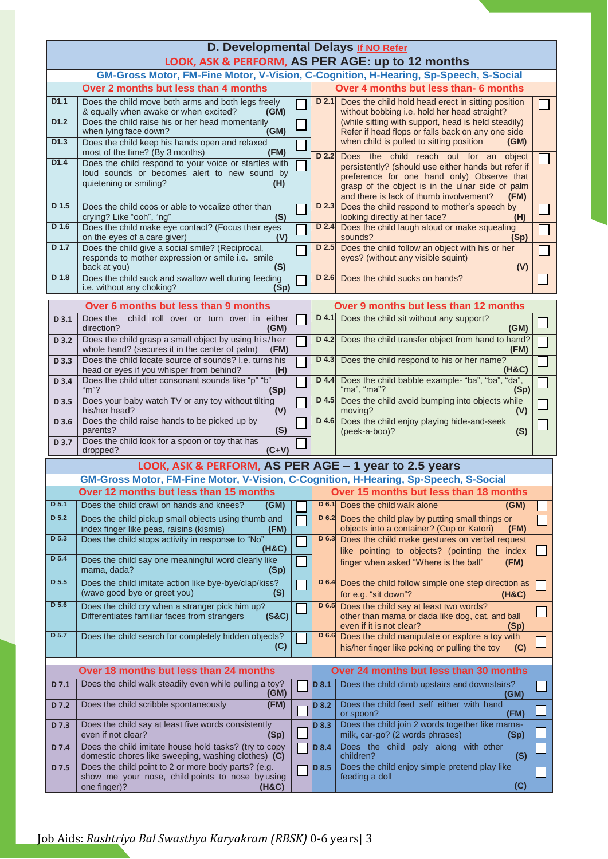| D. Developmental Delays If NO Refer |                                                                                                                              |  |                                       |                                                                                                                                                   |  |  |  |  |  |  |  |  |  |  |
|-------------------------------------|------------------------------------------------------------------------------------------------------------------------------|--|---------------------------------------|---------------------------------------------------------------------------------------------------------------------------------------------------|--|--|--|--|--|--|--|--|--|--|
|                                     | LOOK, ASK & PERFORM, AS PER AGE: up to 12 months                                                                             |  |                                       |                                                                                                                                                   |  |  |  |  |  |  |  |  |  |  |
|                                     | GM-Gross Motor, FM-Fine Motor, V-Vision, C-Cognition, H-Hearing, Sp-Speech, S-Social                                         |  |                                       |                                                                                                                                                   |  |  |  |  |  |  |  |  |  |  |
|                                     | Over 2 months but less than 4 months                                                                                         |  | Over 4 months but less than- 6 months |                                                                                                                                                   |  |  |  |  |  |  |  |  |  |  |
| D1.1                                | Does the child move both arms and both legs freely<br>& equally when awake or when excited?<br>(GM)                          |  | D <sub>2.1</sub>                      | Does the child hold head erect in sitting position<br>without bobbing i.e. hold her head straight?                                                |  |  |  |  |  |  |  |  |  |  |
| D1.2                                | Does the child raise his or her head momentarily<br>when lying face down?<br>(GM)                                            |  |                                       | (while sitting with support, head is held steadily)<br>Refer if head flops or falls back on any one side                                          |  |  |  |  |  |  |  |  |  |  |
| D <sub>1.3</sub>                    | Does the child keep his hands open and relaxed<br>(FM)<br>most of the time? (By 3 months)                                    |  | D 2.2                                 | when child is pulled to sitting position<br>(GM)<br>Does the child reach out for an<br>object                                                     |  |  |  |  |  |  |  |  |  |  |
| D1.4                                | Does the child respond to your voice or startles with<br>loud sounds or becomes alert to new sound by                        |  |                                       | persistently? (should use either hands but refer if                                                                                               |  |  |  |  |  |  |  |  |  |  |
|                                     | quietening or smiling?<br>(H)                                                                                                |  |                                       | preference for one hand only) Observe that<br>grasp of the object is in the ulnar side of palm<br>and there is lack of thumb involvement?<br>(FM) |  |  |  |  |  |  |  |  |  |  |
| D 1.5                               | Does the child coos or able to vocalize other than<br>crying? Like "ooh", "ng"<br>(S)                                        |  | D 2.3                                 | Does the child respond to mother's speech by<br>looking directly at her face?<br>(H)                                                              |  |  |  |  |  |  |  |  |  |  |
| D 1.6                               | Does the child make eye contact? (Focus their eyes<br>on the eyes of a care giver)<br>(V)                                    |  | $D$ 2.4                               | Does the child laugh aloud or make squealing<br>sounds?<br>(Sp)                                                                                   |  |  |  |  |  |  |  |  |  |  |
| $D$ 1.7                             | Does the child give a social smile? (Reciprocal,<br>responds to mother expression or smile i.e. smile<br>back at you)<br>(S) |  | D 2.5                                 | Does the child follow an object with his or her<br>eyes? (without any visible squint)<br>(V)                                                      |  |  |  |  |  |  |  |  |  |  |
| D 1.8                               | Does the child suck and swallow well during feeding<br>i.e. without any choking?<br>(Sp)                                     |  | D 2.6                                 | Does the child sucks on hands?                                                                                                                    |  |  |  |  |  |  |  |  |  |  |
|                                     | Over 6 months but less than 9 months                                                                                         |  |                                       | Over 9 months but less than 12 months                                                                                                             |  |  |  |  |  |  |  |  |  |  |
| D <sub>3.1</sub>                    | child roll over or turn over in either<br>Does the<br>direction?<br>(GM)                                                     |  | $D$ 4.1                               | Does the child sit without any support?<br>(GM)                                                                                                   |  |  |  |  |  |  |  |  |  |  |
| D 3.2                               | Does the child grasp a small object by using his/her<br>whole hand? (secures it in the center of palm)<br>(FM)               |  | D 4.2                                 | Does the child transfer object from hand to hand?<br>(FM)                                                                                         |  |  |  |  |  |  |  |  |  |  |
| D 3.3                               | Does the child locate source of sounds? I.e. turns his<br>head or eyes if you whisper from behind?<br>(H)                    |  | D 4.3                                 | Does the child respond to his or her name?<br>(H&C)                                                                                               |  |  |  |  |  |  |  |  |  |  |
| D 3.4                               | Does the child utter consonant sounds like "p" "b"<br>" $m$ "?<br>(Sp)                                                       |  | D 4.4                                 | Does the child babble example- "ba", "ba", "da",<br>"ma", "ma"?<br>(Sp)                                                                           |  |  |  |  |  |  |  |  |  |  |
| D 3.5                               | Does your baby watch TV or any toy without tilting<br>his/her head?<br>(V)                                                   |  | $D$ 4.5                               | Does the child avoid bumping into objects while<br>moving?<br>(V)                                                                                 |  |  |  |  |  |  |  |  |  |  |
| D 3.6                               | Does the child raise hands to be picked up by<br>(S)<br>parents?                                                             |  | D 4.6                                 | Does the child enjoy playing hide-and-seek<br>(peek-a-boo)?<br>(S)                                                                                |  |  |  |  |  |  |  |  |  |  |
| D 3.7                               | Does the child look for a spoon or toy that has<br>$(C+V)$<br>dropped?                                                       |  |                                       |                                                                                                                                                   |  |  |  |  |  |  |  |  |  |  |
|                                     | LOOK, ASK & PERFORM, AS PER AGE - 1 year to 2.5 years                                                                        |  |                                       |                                                                                                                                                   |  |  |  |  |  |  |  |  |  |  |
|                                     | GM-Gross Motor, FM-Fine Motor, V-Vision, C-Cognition, H-Hearing, Sp-Speech, S-Social                                         |  |                                       |                                                                                                                                                   |  |  |  |  |  |  |  |  |  |  |
|                                     | Over 12 months but less than 15 months                                                                                       |  |                                       | Over 15 months but less than 18 months                                                                                                            |  |  |  |  |  |  |  |  |  |  |
| D 5.1                               | Does the child crawl on hands and knees?<br>(GM)                                                                             |  | D 6.1                                 | Does the child walk alone<br>(GM)                                                                                                                 |  |  |  |  |  |  |  |  |  |  |
| D 5.2                               | Does the child pickup small objects using thumb and<br>index finger like peas, raisins (kismis)<br>(FM)                      |  | $D$ 6.2                               | Does the child play by putting small things or<br>objects into a container? (Cup or Katori)<br>(FM)                                               |  |  |  |  |  |  |  |  |  |  |
| D 5.3                               | Does the child stops activity in response to "No"<br>(H&C)                                                                   |  | D 6.3                                 | Does the child make gestures on verbal request<br>like pointing to objects? (pointing the index                                                   |  |  |  |  |  |  |  |  |  |  |
| D 5.4                               | Does the child say one meaningful word clearly like<br>mama, dada?<br>(Sp)                                                   |  |                                       | finger when asked "Where is the ball"<br>(FM)                                                                                                     |  |  |  |  |  |  |  |  |  |  |
| D 5.5                               | Does the child imitate action like bye-bye/clap/kiss?<br>(wave good bye or greet you)<br>(S)                                 |  | D 6.4                                 | Does the child follow simple one step direction as<br>for e.g. "sit down"?<br>(H&C)                                                               |  |  |  |  |  |  |  |  |  |  |
| D 5.6                               | Does the child cry when a stranger pick him up?<br>Differentiates familiar faces from strangers<br>(S&C)                     |  | $D$ 6.5                               | Does the child say at least two words?<br>other than mama or dada like dog, cat, and ball<br>even if it is not clear?<br>(Sp)                     |  |  |  |  |  |  |  |  |  |  |
| D 5.7                               | Does the child search for completely hidden objects?<br>(C)                                                                  |  | D 6.6                                 | Does the child manipulate or explore a toy with<br>his/her finger like poking or pulling the toy<br>(C)                                           |  |  |  |  |  |  |  |  |  |  |
|                                     |                                                                                                                              |  |                                       |                                                                                                                                                   |  |  |  |  |  |  |  |  |  |  |
|                                     | Over 18 months but less than 24 months                                                                                       |  |                                       | Over 24 months but less than 30 months                                                                                                            |  |  |  |  |  |  |  |  |  |  |
| D 7.1                               | Does the child walk steadily even while pulling a toy?<br>(GM)                                                               |  | $D$ 8.1                               | Does the child climb upstairs and downstairs?<br>(GM)                                                                                             |  |  |  |  |  |  |  |  |  |  |
| D 7.2                               | Does the child scribble spontaneously<br>(FM)                                                                                |  | D 8.2                                 | Does the child feed self either with hand<br>or spoon?<br>(FM)                                                                                    |  |  |  |  |  |  |  |  |  |  |
| D 7.3                               | Does the child say at least five words consistently<br>even if not clear?<br>(Sp)                                            |  | D 8.3                                 | Does the child join 2 words together like mama-<br>milk, car-go? (2 words phrases)<br>(Sp)                                                        |  |  |  |  |  |  |  |  |  |  |
| D 7.4                               | Does the child imitate house hold tasks? (try to copy<br>domestic chores like sweeping, washing clothes) (C)                 |  | D 8.4                                 | Does the child paly along with other<br>children?<br>(S)                                                                                          |  |  |  |  |  |  |  |  |  |  |
| D 7.5                               | Does the child point to 2 or more body parts? (e.g.<br>show me your nose, child points to nose by using                      |  | D 8.5                                 | Does the child enjoy simple pretend play like<br>feeding a doll                                                                                   |  |  |  |  |  |  |  |  |  |  |
|                                     | one finger)?<br>(H&C)                                                                                                        |  |                                       | (C)                                                                                                                                               |  |  |  |  |  |  |  |  |  |  |

## Job Aids: *Rashtriya Bal Swasthya Karyakram (RBSK)* 0-6 years| 3